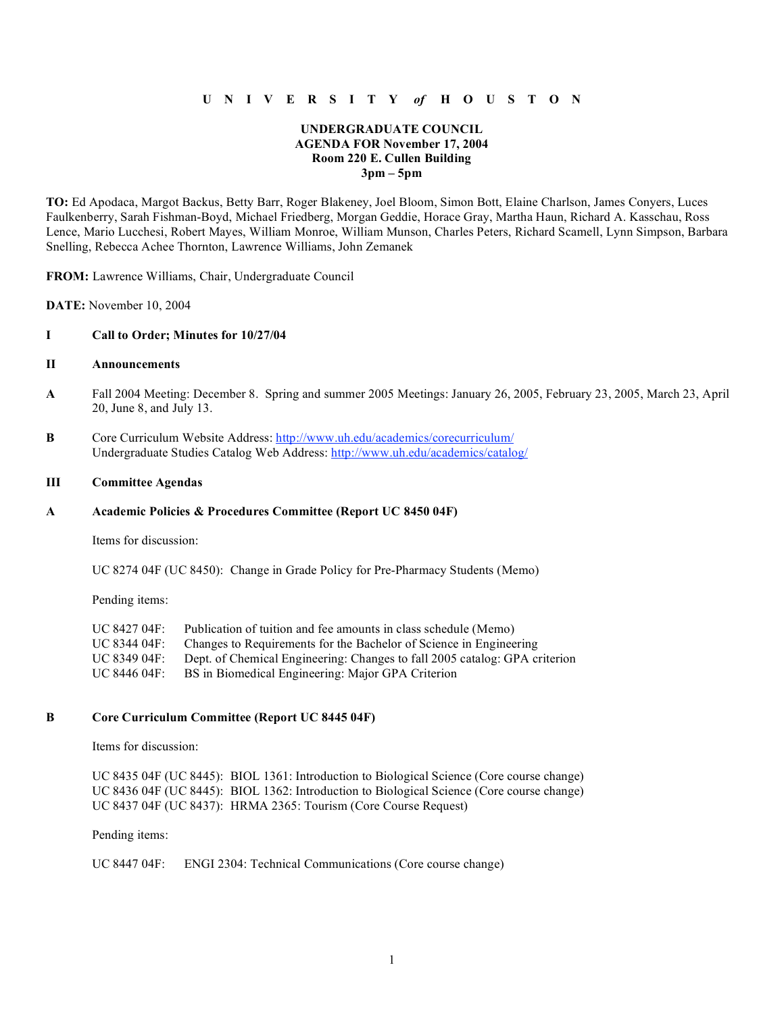### **U N I V E R S I T Y** *of* **H O U S T O N**

### **UNDERGRADUATE COUNCIL AGENDA FOR November 17, 2004 Room 220 E. Cullen Building 3pm – 5pm**

**TO:** Ed Apodaca, Margot Backus, Betty Barr, Roger Blakeney, Joel Bloom, Simon Bott, Elaine Charlson, James Conyers, Luces Faulkenberry, Sarah Fishman-Boyd, Michael Friedberg, Morgan Geddie, Horace Gray, Martha Haun, Richard A. Kasschau, Ross Lence, Mario Lucchesi, Robert Mayes, William Monroe, William Munson, Charles Peters, Richard Scamell, Lynn Simpson, Barbara Snelling, Rebecca Achee Thornton, Lawrence Williams, John Zemanek

**FROM:** Lawrence Williams, Chair, Undergraduate Council

**DATE:** November 10, 2004

#### **I Call to Order; Minutes for 10/27/04**

### **II Announcements**

- **A** Fall 2004 Meeting: December 8. Spring and summer 2005 Meetings: January 26, 2005, February 23, 2005, March 23, April 20, June 8, and July 13.
- **B** Core Curriculum Website Address: http://www.uh.edu/academics/corecurriculum/ Undergraduate Studies Catalog Web Address: http://www.uh.edu/academics/catalog/

#### **III Committee Agendas**

#### **A Academic Policies & Procedures Committee (Report UC 8450 04F)**

Items for discussion:

UC 8274 04F (UC 8450): Change in Grade Policy for Pre-Pharmacy Students (Memo)

Pending items:

| UC 8427 04F: | Publication of tuition and fee amounts in class schedule (Memo)            |
|--------------|----------------------------------------------------------------------------|
| UC 8344 04F: | Changes to Requirements for the Bachelor of Science in Engineering         |
| UC 8349 04F: | Dept. of Chemical Engineering: Changes to fall 2005 catalog: GPA criterion |
| UC 8446 04F: | BS in Biomedical Engineering: Major GPA Criterion                          |

#### **B Core Curriculum Committee (Report UC 8445 04F)**

Items for discussion:

UC 8435 04F (UC 8445): BIOL 1361: Introduction to Biological Science (Core course change) UC 8436 04F (UC 8445): BIOL 1362: Introduction to Biological Science (Core course change) UC 8437 04F (UC 8437): HRMA 2365: Tourism (Core Course Request)

Pending items:

```
UC 8447 04F: ENGI 2304: Technical Communications (Core course change)
```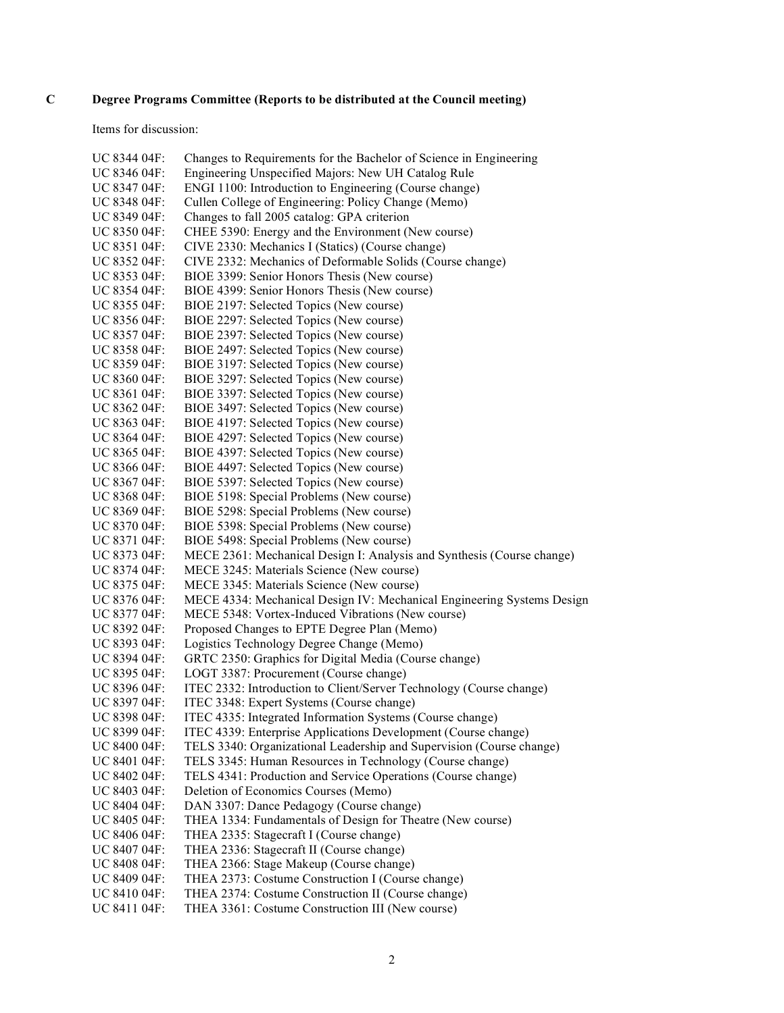# **C Degree Programs Committee (Reports to be distributed at the Council meeting)**

Items for discussion:

| UC 8344 04F: | Changes to Requirements for the Bachelor of Science in Engineering     |
|--------------|------------------------------------------------------------------------|
| UC 8346 04F: | Engineering Unspecified Majors: New UH Catalog Rule                    |
| UC 8347 04F: | ENGI 1100: Introduction to Engineering (Course change)                 |
| UC 8348 04F: | Cullen College of Engineering: Policy Change (Memo)                    |
| UC 8349 04F: | Changes to fall 2005 catalog: GPA criterion                            |
| UC 8350 04F: | CHEE 5390: Energy and the Environment (New course)                     |
| UC 8351 04F: | CIVE 2330: Mechanics I (Statics) (Course change)                       |
| UC 8352 04F: | CIVE 2332: Mechanics of Deformable Solids (Course change)              |
| UC 8353 04F: | BIOE 3399: Senior Honors Thesis (New course)                           |
| UC 8354 04F: | BIOE 4399: Senior Honors Thesis (New course)                           |
| UC 8355 04F: | BIOE 2197: Selected Topics (New course)                                |
| UC 8356 04F: | BIOE 2297: Selected Topics (New course)                                |
| UC 8357 04F: | BIOE 2397: Selected Topics (New course)                                |
|              | BIOE 2497: Selected Topics (New course)                                |
| UC 8358 04F: |                                                                        |
| UC 8359 04F: | BIOE 3197: Selected Topics (New course)                                |
| UC 8360 04F: | BIOE 3297: Selected Topics (New course)                                |
| UC 8361 04F: | BIOE 3397: Selected Topics (New course)                                |
| UC 8362 04F: | BIOE 3497: Selected Topics (New course)                                |
| UC 8363 04F: | BIOE 4197: Selected Topics (New course)                                |
| UC 8364 04F: | BIOE 4297: Selected Topics (New course)                                |
| UC 8365 04F: | BIOE 4397: Selected Topics (New course)                                |
| UC 8366 04F: | BIOE 4497: Selected Topics (New course)                                |
| UC 8367 04F: | BIOE 5397: Selected Topics (New course)                                |
| UC 8368 04F: | BIOE 5198: Special Problems (New course)                               |
| UC 8369 04F: | BIOE 5298: Special Problems (New course)                               |
| UC 8370 04F: | BIOE 5398: Special Problems (New course)                               |
| UC 8371 04F: | BIOE 5498: Special Problems (New course)                               |
| UC 8373 04F: | MECE 2361: Mechanical Design I: Analysis and Synthesis (Course change) |
| UC 8374 04F: | MECE 3245: Materials Science (New course)                              |
| UC 8375 04F: | MECE 3345: Materials Science (New course)                              |
| UC 8376 04F: | MECE 4334: Mechanical Design IV: Mechanical Engineering Systems Design |
| UC 8377 04F: | MECE 5348: Vortex-Induced Vibrations (New course)                      |
| UC 8392 04F: | Proposed Changes to EPTE Degree Plan (Memo)                            |
| UC 8393 04F: | Logistics Technology Degree Change (Memo)                              |
| UC 8394 04F: | GRTC 2350: Graphics for Digital Media (Course change)                  |
| UC 8395 04F: | LOGT 3387: Procurement (Course change)                                 |
| UC 8396 04F: | ITEC 2332: Introduction to Client/Server Technology (Course change)    |
| UC 8397 04F: | ITEC 3348: Expert Systems (Course change)                              |
| UC 8398 04F: | ITEC 4335: Integrated Information Systems (Course change)              |
| UC 8399 04F: | ITEC 4339: Enterprise Applications Development (Course change)         |
| UC 8400 04F: | TELS 3340: Organizational Leadership and Supervision (Course change)   |
| UC 8401 04F: | TELS 3345: Human Resources in Technology (Course change)               |
| UC 8402 04F: | TELS 4341: Production and Service Operations (Course change)           |
| UC 8403 04F: | Deletion of Economics Courses (Memo)                                   |
| UC 8404 04F: | DAN 3307: Dance Pedagogy (Course change)                               |
| UC 8405 04F: | THEA 1334: Fundamentals of Design for Theatre (New course)             |
| UC 8406 04F: | THEA 2335: Stagecraft I (Course change)                                |
| UC 8407 04F: | THEA 2336: Stagecraft II (Course change)                               |
| UC 8408 04F: | THEA 2366: Stage Makeup (Course change)                                |
| UC 8409 04F: | THEA 2373: Costume Construction I (Course change)                      |
| UC 8410 04F: | THEA 2374: Costume Construction II (Course change)                     |
| UC 8411 04F: | THEA 3361: Costume Construction III (New course)                       |
|              |                                                                        |